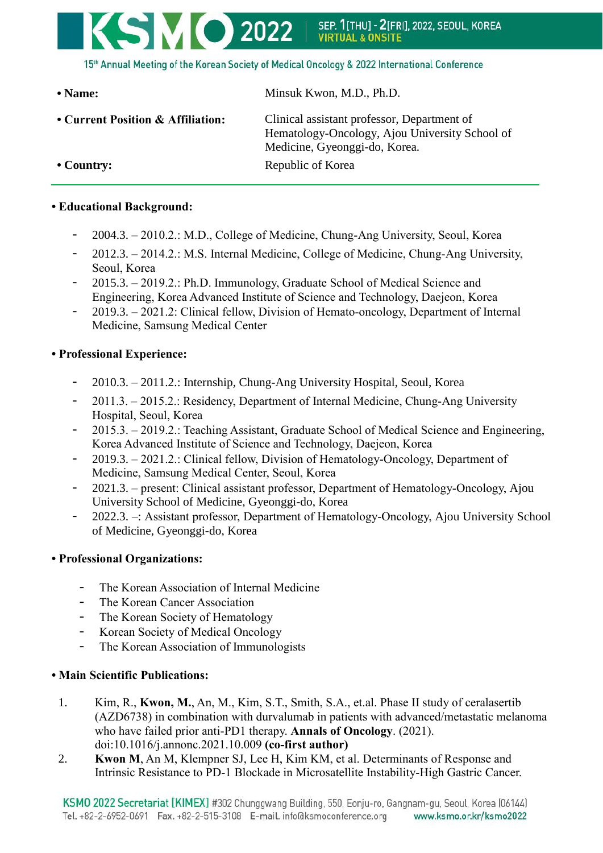# **KSMO 2022 1** SEP. 1[THU] - 2[FRI], 2022, SEOUL, KOREA<br>VIRTUAL & ONSITE 15th Annual Meeting of the Korean Society of Medical Oncology & 2022 International Conference

| • Name:                           | Minsuk Kwon, M.D., Ph.D.                                                                                                       |
|-----------------------------------|--------------------------------------------------------------------------------------------------------------------------------|
| • Current Position & Affiliation: | Clinical assistant professor, Department of<br>Hematology-Oncology, Ajou University School of<br>Medicine, Gyeonggi-do, Korea. |
| $\cdot$ Country:                  | Republic of Korea                                                                                                              |

### **• Educational Background:**

- 2004.3. 2010.2.: M.D., College of Medicine, Chung-Ang University, Seoul, Korea
- 2012.3. 2014.2.: M.S. Internal Medicine, College of Medicine, Chung-Ang University, Seoul, Korea
- 2015.3. 2019.2.: Ph.D. Immunology, Graduate School of Medical Science and Engineering, Korea Advanced Institute of Science and Technology, Daejeon, Korea
- 2019.3. 2021.2: Clinical fellow, Division of Hemato-oncology, Department of Internal Medicine, Samsung Medical Center

#### **• Professional Experience:**

- 2010.3. 2011.2.: Internship, Chung-Ang University Hospital, Seoul, Korea
- 2011.3. 2015.2.: Residency, Department of Internal Medicine, Chung-Ang University Hospital, Seoul, Korea
- 2015.3. 2019.2.: Teaching Assistant, Graduate School of Medical Science and Engineering, Korea Advanced Institute of Science and Technology, Daejeon, Korea
- 2019.3. 2021.2.: Clinical fellow, Division of Hematology-Oncology, Department of Medicine, Samsung Medical Center, Seoul, Korea
- 2021.3. present: Clinical assistant professor, Department of Hematology-Oncology, Ajou University School of Medicine, Gyeonggi-do, Korea
- 2022.3. –: Assistant professor, Department of Hematology-Oncology, Ajou University School of Medicine, Gyeonggi-do, Korea

### **• Professional Organizations:**

- The Korean Association of Internal Medicine
- The Korean Cancer Association
- The Korean Society of Hematology
- Korean Society of Medical Oncology
- The Korean Association of Immunologists

### **• Main Scientific Publications:**

- 1. Kim, R., **Kwon, M.**, An, M., Kim, S.T., Smith, S.A., et.al. Phase II study of ceralasertib (AZD6738) in combination with durvalumab in patients with advanced/metastatic melanoma who have failed prior anti-PD1 therapy. **Annals of Oncology**. (2021). doi:10.1016/j.annonc.2021.10.009 **(co-first author)**
- 2. **Kwon M**, An M, Klempner SJ, Lee H, Kim KM, et al. Determinants of Response and Intrinsic Resistance to PD-1 Blockade in Microsatellite Instability-High Gastric Cancer.